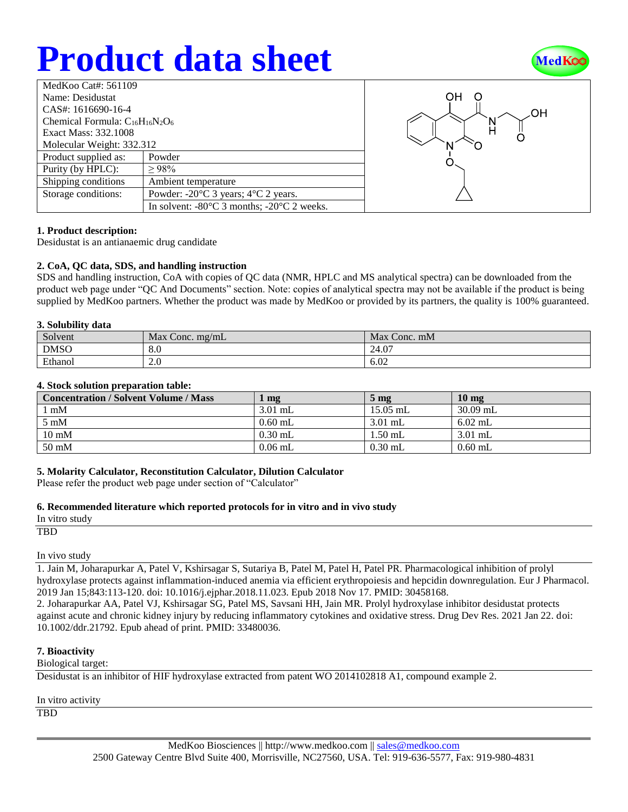## **Product data sheet**



| MedKoo Cat#: $561109$                  |                                                                |  |  |  |
|----------------------------------------|----------------------------------------------------------------|--|--|--|
| Name: Desidustat                       |                                                                |  |  |  |
| CAS#: 1616690-16-4                     |                                                                |  |  |  |
| Chemical Formula: $C_{16}H_{16}N_2O_6$ |                                                                |  |  |  |
| Exact Mass: 332.1008                   |                                                                |  |  |  |
| Molecular Weight: 332.312              |                                                                |  |  |  |
| Product supplied as:                   | Powder                                                         |  |  |  |
| Purity (by HPLC):                      | >98%                                                           |  |  |  |
| Shipping conditions                    | Ambient temperature                                            |  |  |  |
| Storage conditions:                    | Powder: $-20^{\circ}$ C 3 years; $4^{\circ}$ C 2 years.        |  |  |  |
|                                        | In solvent: $-80^{\circ}$ C 3 months; $-20^{\circ}$ C 2 weeks. |  |  |  |



## **1. Product description:**

Desidustat is an antianaemic drug candidate

## **2. CoA, QC data, SDS, and handling instruction**

SDS and handling instruction, CoA with copies of QC data (NMR, HPLC and MS analytical spectra) can be downloaded from the product web page under "QC And Documents" section. Note: copies of analytical spectra may not be available if the product is being supplied by MedKoo partners. Whether the product was made by MedKoo or provided by its partners, the quality is 100% guaranteed.

#### **3. Solubility data**

| Solvent     | Max<br>$\sqrt{2}$ Conc. mg/mL | Max<br>Conc. mM |
|-------------|-------------------------------|-----------------|
| <b>DMSO</b> | ∩ ∩<br><br>8.U                | 24.07           |
| Ethanol     | 2.0                           | 6.02            |

#### **4. Stock solution preparation table:**

| <b>Concentration / Solvent Volume / Mass</b> | mg        | $5 \text{ mg}$ | 10 <sub>mg</sub> |
|----------------------------------------------|-----------|----------------|------------------|
| l mM                                         | $3.01$ mL | $15.05$ mL     | $30.09$ mL       |
| $5 \text{ mM}$                               | $0.60$ mL | $3.01$ mL      | $6.02$ mL        |
| $10 \text{ mM}$                              | $0.30$ mL | $1.50$ mL      | $3.01$ mL        |
| 50 mM                                        | $0.06$ mL | $0.30$ mL      | $0.60$ mL        |

#### **5. Molarity Calculator, Reconstitution Calculator, Dilution Calculator**

Please refer the product web page under section of "Calculator"

## **6. Recommended literature which reported protocols for in vitro and in vivo study**

In vitro study

TBD

In vivo study

1. Jain M, Joharapurkar A, Patel V, Kshirsagar S, Sutariya B, Patel M, Patel H, Patel PR. Pharmacological inhibition of prolyl hydroxylase protects against inflammation-induced anemia via efficient erythropoiesis and hepcidin downregulation. Eur J Pharmacol. 2019 Jan 15;843:113-120. doi: 10.1016/j.ejphar.2018.11.023. Epub 2018 Nov 17. PMID: 30458168.

2. Joharapurkar AA, Patel VJ, Kshirsagar SG, Patel MS, Savsani HH, Jain MR. Prolyl hydroxylase inhibitor desidustat protects against acute and chronic kidney injury by reducing inflammatory cytokines and oxidative stress. Drug Dev Res. 2021 Jan 22. doi: 10.1002/ddr.21792. Epub ahead of print. PMID: 33480036.

## **7. Bioactivity**

Biological target:

Desidustat is an inhibitor of HIF hydroxylase extracted from patent WO 2014102818 A1, compound example 2.

In vitro activity

**TBD**